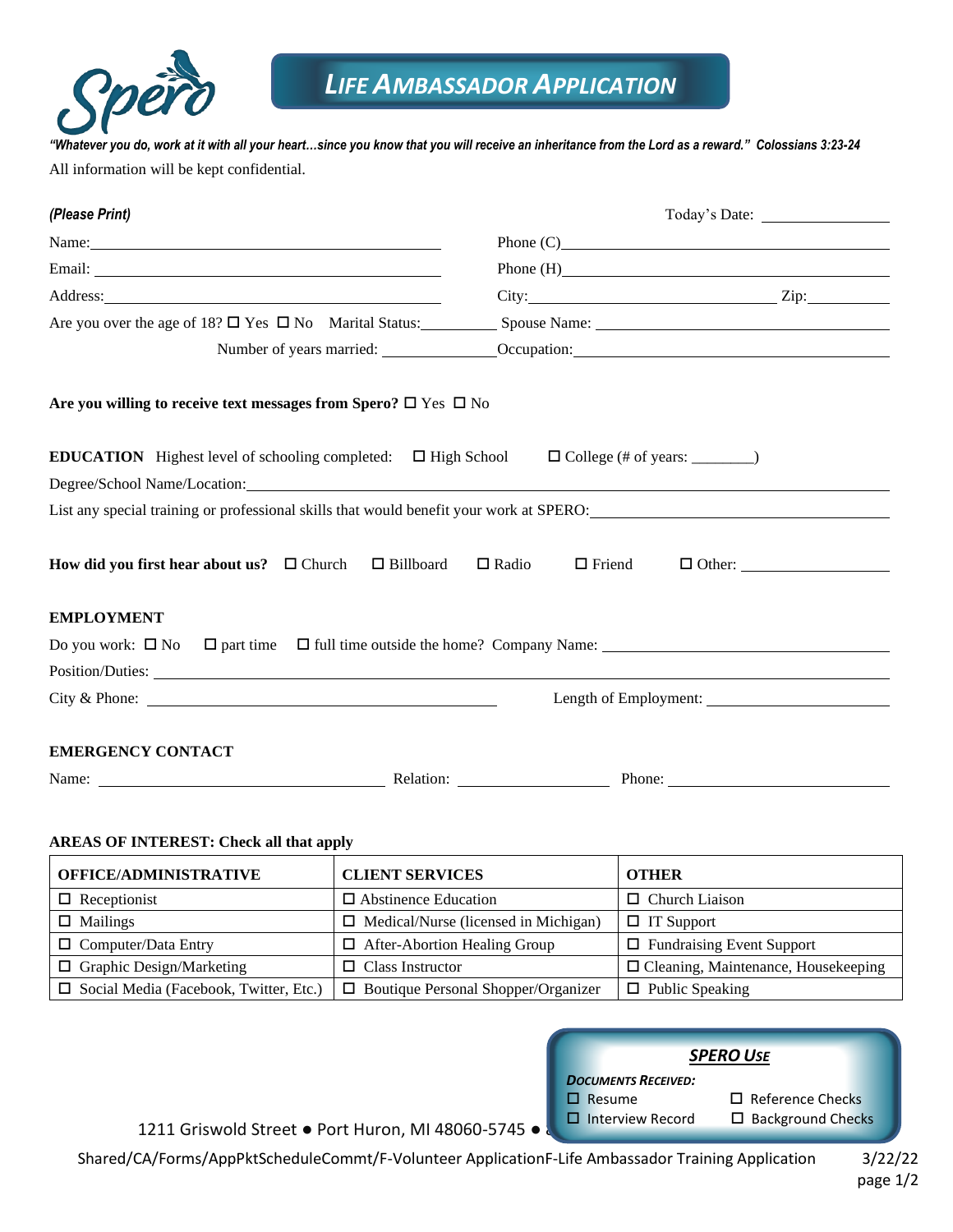

*"Whatever you do, work at it with all your heart…since you know that you will receive an inheritance from the Lord as a reward." Colossians 3:23-24* All information will be kept confidential.

| (Please Print)                                                                                                                                                                                                                 |  |                               |                                                         |  |
|--------------------------------------------------------------------------------------------------------------------------------------------------------------------------------------------------------------------------------|--|-------------------------------|---------------------------------------------------------|--|
| Name: Name and the set of the set of the set of the set of the set of the set of the set of the set of the set of the set of the set of the set of the set of the set of the set of the set of the set of the set of the set o |  |                               | Phone $(C)$                                             |  |
|                                                                                                                                                                                                                                |  |                               |                                                         |  |
| Address: 2008 and 2008 and 2008 and 2008 and 2008 and 2008 and 2008 and 2008 and 2008 and 2008 and 2008 and 20                                                                                                                 |  |                               | $City:$ $Zip:$                                          |  |
|                                                                                                                                                                                                                                |  |                               |                                                         |  |
|                                                                                                                                                                                                                                |  |                               | Number of years married: <u>Cocupation:</u> Cocupation: |  |
| Are you willing to receive text messages from Spero? $\square$ Yes $\square$ No                                                                                                                                                |  |                               |                                                         |  |
| <b>EDUCATION</b> Highest level of schooling completed: $\Box$ High School $\Box$ College (# of years: _______)                                                                                                                 |  |                               |                                                         |  |
| Degree/School Name/Location: Name and School Name and School Name and School Name and School Name and School Name and School Name and School Name and School Name and School Name and School Name and School Name and School N |  |                               |                                                         |  |
| List any special training or professional skills that would benefit your work at SPERO:<br>List any special training or professional skills that would benefit your work at SPERO:                                             |  |                               |                                                         |  |
| How did you first hear about us? $\Box$ Church $\Box$ Billboard                                                                                                                                                                |  | $\Box$ Friend<br>$\Box$ Radio | $\Box$ Other:                                           |  |
| <b>EMPLOYMENT</b>                                                                                                                                                                                                              |  |                               |                                                         |  |
| Do you work: $\Box$ No $\Box$ part time $\Box$ full time outside the home? Company Name: $\Box$                                                                                                                                |  |                               |                                                         |  |
| Position/Duties:                                                                                                                                                                                                               |  |                               |                                                         |  |
|                                                                                                                                                                                                                                |  |                               | Length of Employment:                                   |  |
| <b>EMERGENCY CONTACT</b>                                                                                                                                                                                                       |  |                               |                                                         |  |
|                                                                                                                                                                                                                                |  |                               |                                                         |  |

## **AREAS OF INTEREST: Check all that apply**

| <b>OFFICE/ADMINISTRATIVE</b>                  | <b>CLIENT SERVICES</b>                      | <b>OTHER</b>                               |
|-----------------------------------------------|---------------------------------------------|--------------------------------------------|
| $\Box$ Receptionist                           | $\Box$ Abstinence Education                 | $\Box$ Church Liaison                      |
| $\Box$ Mailings                               | $\Box$ Medical/Nurse (licensed in Michigan) | $\Box$ IT Support                          |
| $\Box$ Computer/Data Entry                    | $\Box$ After-Abortion Healing Group         | $\Box$ Fundraising Event Support           |
| $\Box$ Graphic Design/Marketing               | $\Box$ Class Instructor                     | $\Box$ Cleaning, Maintenance, Housekeeping |
| $\Box$ Social Media (Facebook, Twitter, Etc.) | $\Box$ Boutique Personal Shopper/Organizer  | $\Box$ Public Speaking                     |



1211 Griswold Street ● Port Huron, MI 48060-5745 ● **Blue Water** Interview Record

Shared/CA/Forms/AppPktScheduleCommt/F-Volunteer ApplicationF-Life Ambassador Training Application 3/22/22